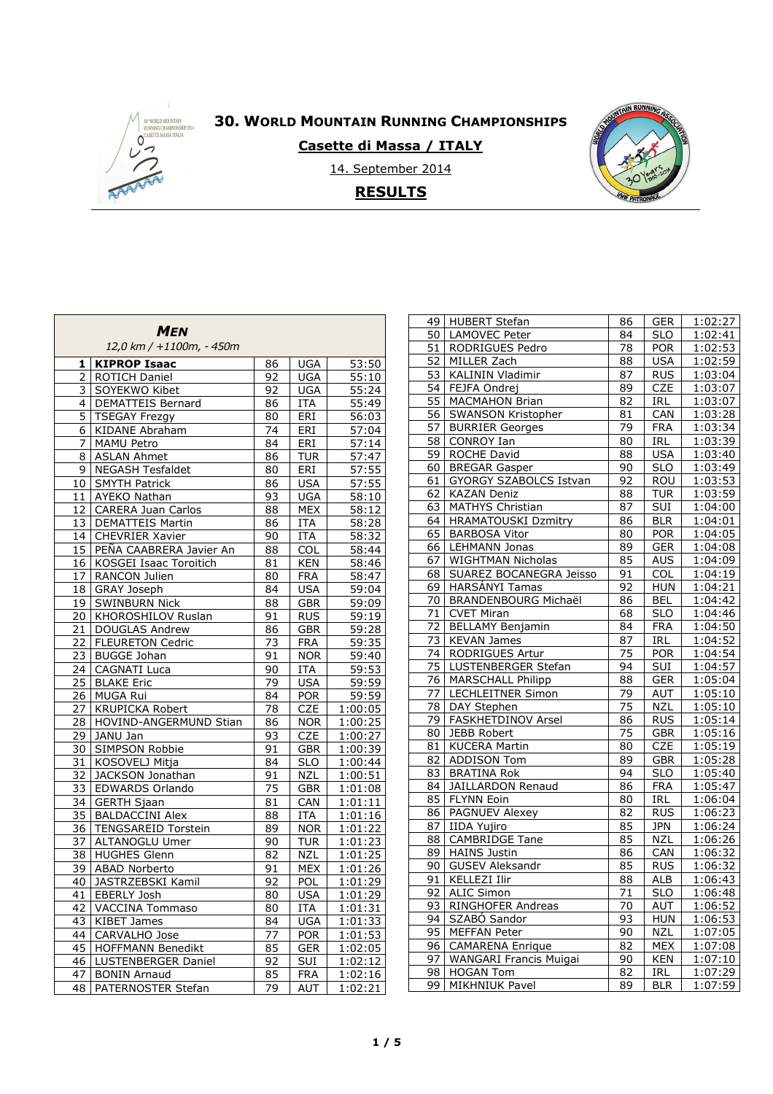

# **30. WORLD MOUNTAIN RUNNING CHAMPIONSHIPS**

**Casette di Massa / ITALY** 

14. September 2014 **RESULTS**



| <b>MEN</b><br>12,0 km / +1100m, - 450m |                           |                 |            |                    |  |  |  |
|----------------------------------------|---------------------------|-----------------|------------|--------------------|--|--|--|
| 1                                      | <b>KIPROP Isaac</b>       | 86              | <b>UGA</b> | 53:50              |  |  |  |
| 2                                      | ROTICH Daniel             | 92              | <b>UGA</b> | 55:10              |  |  |  |
| 3                                      | SOYEKWO Kibet             | 92              | <b>UGA</b> | 55:24              |  |  |  |
| 4                                      | DEMATTEIS Bernard         | 86              | <b>ITA</b> | 55:49              |  |  |  |
| 5                                      | <b>TSEGAY Frezgy</b>      | 80              | ERI        | 56:03              |  |  |  |
| 6                                      | <b>KIDANE Abraham</b>     | 74              | ERI        | 57:04              |  |  |  |
| 7                                      | MAMU Petro                | 84              | ERI        | 57:14              |  |  |  |
| 8                                      | <b>ASLAN Ahmet</b>        | 86              | <b>TUR</b> | 57:47              |  |  |  |
| 9                                      | <b>NEGASH Tesfaldet</b>   | 80              | ERI        | 57:55              |  |  |  |
| 10                                     | <b>SMYTH Patrick</b>      | 86              | <b>USA</b> | 57:55              |  |  |  |
| 11                                     | AYEKO Nathan              | 93              | <b>UGA</b> | 58:10              |  |  |  |
| 12                                     | <b>CARERA Juan Carlos</b> | 88              | MEX        | 58:12              |  |  |  |
| 13                                     | <b>DEMATTEIS Martin</b>   | 86              | ITA        | 58:28              |  |  |  |
| 14                                     | <b>CHEVRIER Xavier</b>    | 90              | <b>ITA</b> | 58:32              |  |  |  |
| 15                                     | PEÑA CAABRERA Javier An   | 88              | COL        | $\overline{58:44}$ |  |  |  |
| 16                                     | KOSGEI Isaac Toroitich    | 81              | <b>KEN</b> | 58:46              |  |  |  |
| 17                                     | RANCON Julien             | 80              | <b>FRA</b> | 58:47              |  |  |  |
| 18                                     | GRAY Joseph               | 84              | <b>USA</b> | 59:04              |  |  |  |
| 19                                     | <b>SWINBURN Nick</b>      | 88              | <b>GBR</b> | 59:09              |  |  |  |
| 20                                     | KHOROSHILOV Ruslan        | 91              | <b>RUS</b> | 59:19              |  |  |  |
| 21                                     | <b>DOUGLAS Andrew</b>     | 86              | <b>GBR</b> | 59:28              |  |  |  |
| 22                                     | <b>FLEURETON Cedric</b>   | 73              | <b>FRA</b> | 59:35              |  |  |  |
| 23                                     | <b>BUGGE Johan</b>        | 91              | <b>NOR</b> | 59:40              |  |  |  |
| 24                                     | <b>CAGNATI Luca</b>       | 90              | <b>ITA</b> | 59:53              |  |  |  |
| $\overline{25}$                        | <b>BLAKE Eric</b>         | $\overline{79}$ | <b>USA</b> | 59:59              |  |  |  |
| <u>26</u>                              | MUGA Rui                  | 84              | <b>POR</b> | 59:59              |  |  |  |
| 27                                     | <b>KRUPICKA Robert</b>    | 78              | CZE        | 1:00:05            |  |  |  |
| 28                                     | HOVIND-ANGERMUND Stian    | 86              | <b>NOR</b> | 1:00:25            |  |  |  |
| 29                                     | JANU Jan                  | 93              | <b>CZE</b> | 1:00:27            |  |  |  |
| 30                                     | SIMPSON Robbie            | 91              | <b>GBR</b> | 1:00:39            |  |  |  |
| 31                                     | KOSOVELJ Mitja            | 84              | <b>SLO</b> | 1:00:44            |  |  |  |
| 32                                     | JACKSON Jonathan          | 91              | <b>NZL</b> | 1:00:51            |  |  |  |
| 33                                     | EDWARDS Orlando           | 75              | <b>GBR</b> | 1:01:08            |  |  |  |
| 34                                     | <b>GERTH Sjaan</b>        | 81              | CAN        | 1:01:11            |  |  |  |
| 35                                     | <b>BALDACCINI Alex</b>    | 88              | <b>ITA</b> | 1:01:16            |  |  |  |
| 36                                     | TENGSAREID Torstein       | 89              | <b>NOR</b> | 1:01:22            |  |  |  |
| 37                                     | ALTANOGLU Umer            | 90              | <b>TUR</b> | 1:01:23            |  |  |  |
| 38                                     | <b>HUGHES Glenn</b>       | 82              | NZL        | 1:01:25            |  |  |  |
| 39                                     | <b>ABAD Norberto</b>      | 91              | <b>MEX</b> | 1:01:26            |  |  |  |
| 40                                     | JASTRZEBSKI Kamil         | 92              | POL        | 1:01:29            |  |  |  |
| $\overline{41}$                        | EBERLY Josh               | 80              | <b>USA</b> | 1:01:29            |  |  |  |
| 42                                     | VACCINA Tommaso           | 80              | ITA        | 1:01:31            |  |  |  |
| 43                                     | KIBET James               | 84              | UGA        | 1:01:33            |  |  |  |
| 44                                     | CARVALHO Jose             | 77              | <b>POR</b> | 1:01:53            |  |  |  |
| 45                                     | HOFFMANN Benedikt         | 85              | <b>GER</b> | 1:02:05            |  |  |  |
| 46                                     | LUSTENBERGER Daniel       | 92              | SUI        | 1:02:12            |  |  |  |
| 47                                     | <b>BONIN Arnaud</b>       | 85              | <b>FRA</b> | 1:02:16            |  |  |  |
| 48                                     | PATERNOSTER Stefan        | 79              | AUT        | 1:02:21            |  |  |  |

| 49 | <b>HUBERT Stefan</b>        | 86 | <b>GER</b>              | 1:02:27        |
|----|-----------------------------|----|-------------------------|----------------|
| 50 | LAMOVEC Peter               | 84 | <b>SLO</b>              | 1:02:41        |
| 51 | <b>RODRIGUES Pedro</b>      | 78 | <b>POR</b>              | 1:02:53        |
| 52 | MILLER Zach                 | 88 | <b>USA</b>              | 1:02:59        |
| 53 | KALININ Vladimir            | 87 | <b>RUS</b>              | 1:03:04        |
| 54 | FEJFA Ondrej                | 89 | <b>CZE</b>              | 1:03:07        |
| 55 | <b>MACMAHON Brian</b>       | 82 | IRL                     | 1:03:07        |
| 56 | SWANSON Kristopher          | 81 | CAN                     | 1:03:28        |
| 57 | <b>BURRIER Georges</b>      | 79 | <b>FRA</b>              | 1:03:34        |
| 58 | <b>CONROY Ian</b>           | 80 | IRL                     | <u>1:03:39</u> |
| 59 | <b>ROCHE David</b>          | 88 | USA                     | 1:03:40        |
| 60 | <b>BREGAR Gasper</b>        | 90 | $\overline{\text{SLO}}$ | 1:03:49        |
| 61 | GYORGY SZABOLCS Istvan      | 92 | ROU                     | 1:03:53        |
| 62 | <b>KAZAN Deniz</b>          | 88 | <b>TUR</b>              | 1:03:59        |
| 63 | MATHYS Christian            | 87 | SUI                     | 1:04:00        |
| 64 | <b>HRAMATOUSKI Dzmitry</b>  | 86 | <b>BLR</b>              | 1:04:01        |
| 65 | <b>BARBOSA Vitor</b>        | 80 | <b>POR</b>              | 1:04:05        |
| 66 | LEHMANN Jonas               | 89 | <b>GER</b>              | 1:04:08        |
| 67 | <b>WIGHTMAN Nicholas</b>    | 85 | <b>AUS</b>              | 1:04:09        |
| 68 | SUAREZ BOCANEGRA Jeisso     | 91 | <b>COL</b>              | 1:04:19        |
| 69 | <b>HARSÁNYI Tamas</b>       | 92 | <b>HUN</b>              | 1:04:21        |
| 70 | <b>BRANDENBOURG Michaël</b> | 86 | <b>BEL</b>              | 1:04:42        |
| 71 | <b>CVET Miran</b>           | 68 | <b>SLO</b>              | 1:04:46        |
| 72 | <b>BELLAMY Benjamin</b>     | 84 | <b>FRA</b>              | 1:04:50        |
| 73 | <b>KEVAN James</b>          | 87 | IRL                     | 1:04:52        |
| 74 | <b>RODRIGUES Artur</b>      | 75 | <b>POR</b>              | 1:04:54        |
| 75 | LUSTENBERGER Stefan         | 94 | SUI                     | 1:04:57        |
| 76 | <b>MARSCHALL Philipp</b>    | 88 | <b>GER</b>              | 1:05:04        |
| 77 | <b>LECHLEITNER Simon</b>    | 79 | <b>AUT</b>              | 1:05:10        |
| 78 | DAY Stephen                 | 75 | NZL                     | 1:05:10        |
| 79 | FASKHETDINOV Arsel          | 86 | RUS                     | 1:05:14        |
| 80 | JEBB Robert                 | 75 | <b>GBR</b>              | 1:05:16        |
| 81 | <b>KUCERA Martin</b>        | 80 | <b>CZE</b>              | 1:05:19        |
| 82 | <b>ADDISON Tom</b>          | 89 | <b>GBR</b>              | 1:05:28        |
| 83 | <b>BRATINA Rok</b>          | 94 | <b>SLO</b>              | 1:05:40        |
| 84 | <b>JAILLARDON Renaud</b>    | 86 | <b>FRA</b>              | 1:05:47        |
| 85 | FLYNN Eoin                  | 80 | IRL                     | 1:06:04        |
| 86 | PAGNUEV Alexey              | 82 | <b>RUS</b>              | 1:06:23        |
| 87 | <b>IIDA Yujiro</b>          | 85 | <b>JPN</b>              | 1:06:24        |
| 88 | <b>CAMBRIDGE Tane</b>       | 85 | <b>NZL</b>              | 1:06:26        |
| 89 | <b>HAINS Justin</b>         | 86 | CAN                     | 1:06:32        |
| 90 | GUSEV Aleksandr             | 85 | <b>RUS</b>              | 1:06:32        |
| 91 | <b>KELLEZI Ilir</b>         | 88 | <b>ALB</b>              | 1:06:43        |
| 92 | <b>ALIC Simon</b>           | 71 | SLO                     | 1:06:48        |
| 93 | RINGHOFER Andreas           | 70 | AUT                     | 1:06:52        |
| 94 | SZABÓ Sandor                | 93 | <b>HUN</b>              | 1:06:53        |
| 95 | MEFFAN Peter                | 90 | <u>NZL</u>              | 1:07:05        |
| 96 | <b>CAMARENA Enrique</b>     | 82 | MEX                     | 1:07:08        |
| 97 | WANGARI Francis Muigai      | 90 | <b>KEN</b>              | 1:07:10        |
| 98 | <b>HOGAN Tom</b>            | 82 | IRL                     | 1:07:29        |
| 99 | MIKHNIUK Pavel              | 89 | <b>BLR</b>              | 1:07:59        |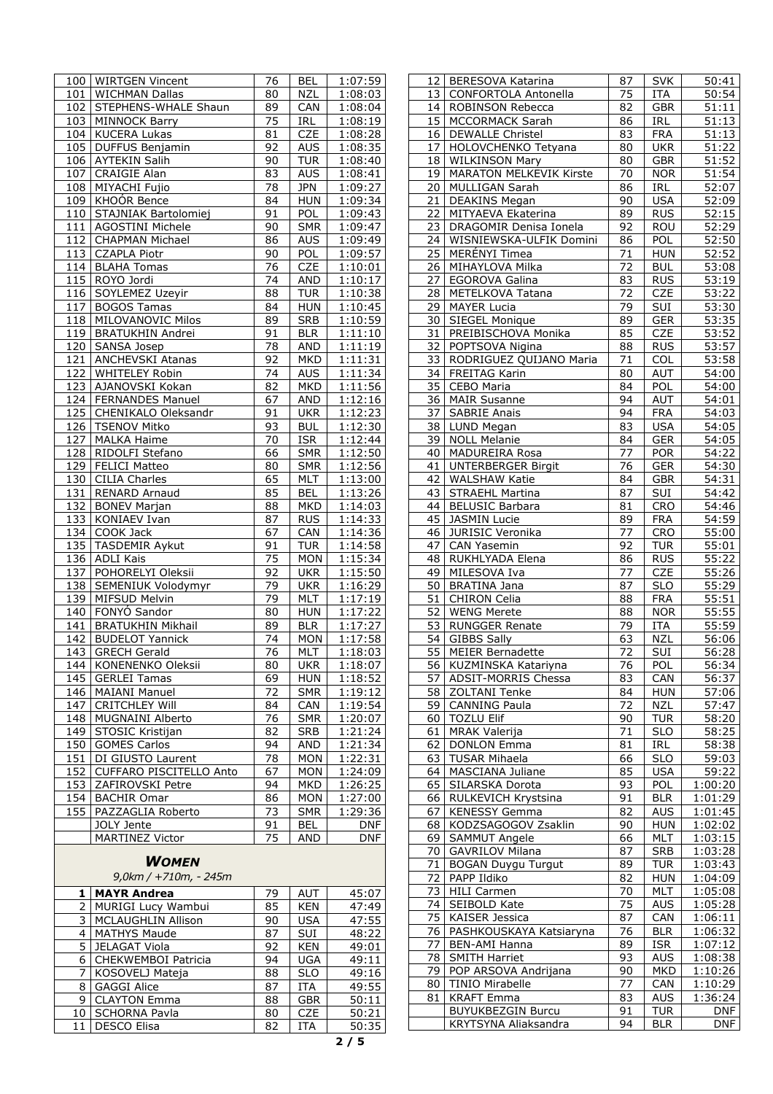|                  | 100   WIRTGEN Vincent    | 76 | BEL        | 1:07:59    |
|------------------|--------------------------|----|------------|------------|
| 101              | <b>WICHMAN Dallas</b>    | 80 | <b>NZL</b> | 1:08:03    |
| 102              | STEPHENS-WHALE Shaun     | 89 | CAN        | 1:08:04    |
| 103              | <b>MINNOCK Barry</b>     | 75 | IRL        | 1:08:19    |
|                  | 104   KUCERA Lukas       | 81 | CZE        | 1:08:28    |
| 105              | DUFFUS Benjamin          | 92 | <b>AUS</b> | 1:08:35    |
| 106              | <b>AYTEKIN Salih</b>     | 90 | <b>TUR</b> | 1:08:40    |
|                  | <b>CRAIGIE Alan</b>      |    | <b>AUS</b> |            |
| 107              |                          | 83 |            | 1:08:41    |
| 108              | MIYACHI Fujio            | 78 | <b>JPN</b> | 1:09:27    |
|                  | 109 KHOÓR Bence          | 84 | <b>HUN</b> | 1:09:34    |
| 110              | STAJNIAK Bartolomiej     | 91 | POL        | 1:09:43    |
| 111              | AGOSTINI Michele         | 90 | <b>SMR</b> | 1:09:47    |
| 112              | <b>CHAPMAN Michael</b>   | 86 | <b>AUS</b> | 1:09:49    |
| 113              | <b>CZAPLA Piotr</b>      | 90 | <b>POL</b> | 1:09:57    |
| 114              | <b>BLAHA Tomas</b>       | 76 | CZE        | 1:10:01    |
| 115              | ROYO Jordi               | 74 | AND        | 1:10:17    |
| 116              | SOYLEMEZ Uzeyir          | 88 | <b>TUR</b> | 1:10:38    |
| $\overline{117}$ | <b>BOGOS Tamas</b>       | 84 | <b>HUN</b> | 1:10:45    |
|                  |                          |    |            |            |
| 118              | MILOVANOVIC Milos        | 89 | <b>SRB</b> | 1:10:59    |
| 119              | <b>BRATUKHIN Andrei</b>  | 91 | <b>BLR</b> | 1:11:10    |
| 120              | SANSA Josep              | 78 | AND        | 1:11:19    |
| 121              | ANCHEVSKI Atanas         | 92 | <b>MKD</b> | 1:11:31    |
| 122              | <b>WHITELEY Robin</b>    | 74 | AUS        | 1:11:34    |
| 123              | AJANOVSKI Kokan          | 82 | <b>MKD</b> | 1:11:56    |
| 124              | <b>FERNANDES Manuel</b>  | 67 | AND        | 1:12:16    |
| 125              | CHENIKALO Oleksandr      | 91 | <b>UKR</b> | 1:12:23    |
| 126              | <b>TSENOV Mitko</b>      | 93 | <b>BUL</b> | 1:12:30    |
| 127              | <b>MALKA Haime</b>       | 70 | <b>ISR</b> | 1:12:44    |
|                  |                          |    |            |            |
| 128              | RIDOLFI Stefano          | 66 | <b>SMR</b> | 1:12:50    |
| 129              | <b>FELICI Matteo</b>     | 80 | <b>SMR</b> | 1:12:56    |
| 130              | <b>CILIA Charles</b>     | 65 | <b>MLT</b> | 1:13:00    |
| 131              | <b>RENARD Arnaud</b>     | 85 | BEL        | 1:13:26    |
| 132              | <b>BONEV Marjan</b>      | 88 | MKD        | 1:14:03    |
| 133              | KONIAEV Ivan             | 87 | <b>RUS</b> | 1:14:33    |
| 134              | COOK Jack                | 67 | CAN        | 1:14:36    |
| 135              | <b>TASDEMIR Aykut</b>    | 91 | TUR        | 1:14:58    |
| 136              | ADLI Kais                | 75 | MON        | 1:15:34    |
| 137              | POHORELYI Oleksii        | 92 | <b>UKR</b> | 1:15:50    |
| 138              | SEMENIUK Volodymyr       | 79 | <b>UKR</b> | 1:16:29    |
| 139              | MIFSUD Melvin            | 79 | MLT        | 1:17:19    |
|                  |                          |    |            |            |
| 140              | FONYÓ Sandor             | 80 | <b>HUN</b> | 1:17:22    |
| 141              | <b>BRATUKHIN Mikhail</b> | 89 | <b>BLR</b> | 1:17:27    |
| 142              | <b>BUDELOT Yannick</b>   | 74 | <b>MON</b> | 1:17:58    |
| 143              | <b>GRECH Gerald</b>      | 76 | <b>MLT</b> | 1:18:03    |
| 144              | KONENENKO Oleksii        | 80 | <b>UKR</b> | 1:18:07    |
| 145              | <b>GERLEI Tamas</b>      | 69 | <b>HUN</b> | 1:18:52    |
| 146              | <b>MAIANI Manuel</b>     | 72 | <b>SMR</b> | 1:19:12    |
| 147              | <b>CRITCHLEY Will</b>    | 84 | CAN        | 1:19:54    |
| 148              | MUGNAINI Alberto         | 76 | <b>SMR</b> | 1:20:07    |
| 149              | STOSIC Kristijan         | 82 | SRB        | 1:21:24    |
|                  |                          | 94 |            |            |
| 150              | <b>GOMES Carlos</b>      |    | AND        | 1:21:34    |
| 151              | DI GIUSTO Laurent        | 78 | <b>MON</b> | 1:22:31    |
| 152              | CUFFARO PISCITELLO Anto  | 67 | <b>MON</b> | 1:24:09    |
| 153              | ZAFIROVSKI Petre         | 94 | <b>MKD</b> | 1:26:25    |
| 154              | <b>BACHIR Omar</b>       | 86 | <b>MON</b> | 1:27:00    |
| 155              | PAZZAGLIA Roberto        | 73 | SMR        | 1:29:36    |
|                  | JOLY Jente               | 91 | BEL        | <b>DNF</b> |
|                  | MARTINEZ Victor          | 75 | AND        | <b>DNF</b> |
|                  | <b>WOMEN</b>             |    |            |            |
|                  | $9,0km / +710m$ , - 245m |    |            |            |
| 1                | <b>MAYR Andrea</b>       | 79 | <b>AUT</b> | 45:07      |
| 2                | MURIGI Lucy Wambui       | 85 | <b>KEN</b> | 47:49      |
|                  |                          |    |            |            |
| 3                | MCLAUGHLIN Allison       | 90 | <b>USA</b> | 47:55      |
| 4                | <b>MATHYS Maude</b>      | 87 | SUI        | 48:22      |
| 5                | JELAGAT Viola            | 92 | <b>KEN</b> | 49:01      |
| 6                | CHEKWEMBOI Patricia      | 94 | <b>UGA</b> | 49:11      |
| 7                | KOSOVELJ Mateja          | 88 | <b>SLO</b> | 49:16      |
| 8                | <b>GAGGI Alice</b>       | 87 | ITA        | 49:55      |
| 9                | <b>CLAYTON Emma</b>      | 88 | <b>GBR</b> | 50:11      |
| 10               | <b>SCHORNA Pavla</b>     | 80 | <b>CZE</b> | 50:21      |
| 11               | DESCO Elisa              | 82 | ITA        | 50:35      |
|                  |                          |    |            |            |

ŕ

| 12 <sub>1</sub> | <b>BERESOVA Katarina</b>                   | 87              | <b>SVK</b> | 50:41               |
|-----------------|--------------------------------------------|-----------------|------------|---------------------|
| 13              | <b>CONFORTOLA Antonella</b>                | 75              | ITA        | 50:54               |
| 14              | ROBINSON Rebecca                           | 82              | <b>GBR</b> | 51:11               |
| 15              | MCCORMACK Sarah                            | 86              | IRL        | 51:13               |
| 16              | <b>DEWALLE Christel</b>                    | 83              | <b>FRA</b> | 51:13               |
| 17              | HOLOVCHENKO Tetyana                        | 80              | <b>UKR</b> | 51:22               |
| 18              | <b>WILKINSON Mary</b>                      | 80              | <b>GBR</b> | 51:52               |
| 19              | MARATON MELKEVIK Kirste                    | 70              | <b>NOR</b> | 51:54               |
| 20              | MULLIGAN Sarah                             | 86              | IRL        | $\overline{5}$ 2:07 |
|                 |                                            |                 |            |                     |
| <u>21</u>       | <b>DEAKINS Megan</b>                       | 90              | <b>USA</b> | 52:09               |
| 22              | MITYAEVA Ekaterina                         | 89              | <b>RUS</b> | 52:15               |
| $\overline{23}$ | DRAGOMIR Denisa Ionela                     | 92              | ROU        | 52:29               |
| 24              | WISNIEWSKA-ULFIK Domini                    | 86              | POL        | 52:50               |
| 25              | MERÉNYI Timea                              | 71              | <b>HUN</b> | 52:52               |
| 26              | MIHAYLOVA Milka                            | $\overline{72}$ | <b>BUL</b> | 53:08               |
| 27              | EGOROVA Galina                             | 83              | <b>RUS</b> | 53:19               |
| 28              | METELKOVA Tatana                           | 72              | CZE        | 53:22               |
| 29              | <b>MAYER Lucia</b>                         | 79              | SUI        | 53:30               |
| 30              | <b>SIEGEL Monique</b>                      | 89              | <b>GER</b> | 53:35               |
| 31              | PREIBISCHOVA Monika                        | 85              | CZE        | 53:52               |
| 32              | POPTSOVA Nigina                            | 88              | <b>RUS</b> | 53:57               |
| 33              | RODRIGUEZ QUIJANO Maria                    | 71              | COL        | 53:58               |
| 34              | FREITAG Karin                              | 80              | <b>AUT</b> | 54:00               |
|                 |                                            |                 |            |                     |
| 35              | CEBO Maria                                 | 84              | POL        | 54:00               |
| 36              | <b>MAIR Susanne</b>                        | 94              | <b>AUT</b> | 54:01               |
| 37              | <b>SABRIE Anais</b>                        | 94              | <b>FRA</b> | $\overline{5}4:03$  |
| 38              | LUND Megan                                 | 83              | <b>USA</b> | 54:05               |
| 39              | <b>NOLL Melanie</b>                        | 84              | <b>GER</b> | 54:05               |
| 40              | <b>MADUREIRA Rosa</b>                      | 77              | <b>POR</b> | 54:22               |
| 41              | <b>UNTERBERGER Birgit</b>                  | 76              | <b>GER</b> | 54:30               |
| 42              | <b>WALSHAW Katie</b>                       | 84              | <b>GBR</b> | 54:31               |
| 43              | <b>STRAEHL Martina</b>                     | 87              | SUI        | 54:42               |
| 44              | <b>BELUSIC Barbara</b>                     | 81              | <b>CRO</b> | 54:46               |
| 45              | JASMIN Lucie                               | 89              | <b>FRA</b> | 54:59               |
| 46              | JURISIC Veronika                           | $\overline{77}$ |            | 55:00               |
|                 |                                            |                 | <b>CRO</b> |                     |
| 47              | CAN Yasemin                                | 92              | <b>TUR</b> | 55:01               |
| 48              | RUKHLYADA Elena                            | 86              | <b>RUS</b> | 55:22               |
| 49              | MILESOVA Iva                               | 77              | <b>CZE</b> | 55:26               |
| 50              | <b>BRATINA Jana</b>                        | 87              | <b>SLO</b> | 55:29               |
| 51              | <b>CHIRON Celia</b>                        | 88              | <b>FRA</b> | 55:51               |
| $\overline{52}$ | <b>WENG Merete</b>                         | 88              | <b>NOR</b> | 55:55               |
| $\overline{53}$ | <b>RUNGGER Renate</b>                      | 79              | ITA        | 55:59               |
| 54              | <b>GIBBS Sally</b>                         | 63              | NZL        | 56:06               |
| 55              | <b>MEIER Bernadette</b>                    | 72              | SUI        | $\overline{56:28}$  |
| 56              | KUZMINSKA Katariyna                        | 76              | POL        | 56:34               |
| 57              | ADSIT-MORRIS Chessa                        | 83              | CAN        | 56:37               |
| 58              | ZOLTANI Tenke                              | 84              | <b>HUN</b> | 57:06               |
| 59              | CANNING Paula                              | 72              | <b>NZL</b> | 57:47               |
| 60              | <b>TOZLU Elif</b>                          | 90              | <b>TUR</b> | 58:20               |
|                 |                                            |                 |            |                     |
| 61              | <b>MRAK Valerija</b><br><b>DONLON Emma</b> | 71              | <b>SLO</b> | 58:25               |
| 62              |                                            |                 |            |                     |
|                 |                                            | 81              | IRL        | 58:38               |
| 63              | <b>TUSAR Mihaela</b>                       | 66              | <b>SLO</b> | 59:03               |
| 64              | MASCIANA Juliane                           | 85              | <b>USA</b> | 59:22               |
| 65              | SILARSKA Dorota                            | 93              | <b>POL</b> | 1:00:20             |
| 66              | RULKEVICH Krystsina                        | 91              | <b>BLR</b> | 1:01:29             |
| 67              | <b>KENESSY Gemma</b>                       | 82              | <b>AUS</b> | 1:01:45             |
| 68              | KODZSAGOGOV Zsaklin                        | 90              | <b>HUN</b> | 1:02:02             |
| 69              |                                            | 66              | <b>MLT</b> | 1:03:15             |
|                 | <b>SAMMUT Angele</b>                       |                 |            |                     |
| 70              | <b>GAVRILOV Milana</b>                     | 87              | <b>SRB</b> | 1:03:28             |
| 71              | <b>BOGAN Duygu Turgut</b>                  | 89              | <b>TUR</b> | 1:03:43             |
| 72              | PAPP Ildiko                                | 82              | <b>HUN</b> | 1:04:09             |
| 73              | <b>HILI Carmen</b>                         | 70              | <b>MLT</b> | 1:05:08             |
| 74              | SEIBOLD Kate                               | 75              | <b>AUS</b> | 1:05:28             |
| 75              | <b>KAISER Jessica</b>                      | 87              | CAN        | 1:06:11             |
| 76              | PASHKOUSKAYA Katsiaryna                    | 76              | <b>BLR</b> | 1:06:32             |
| 77              | BEN-AMI Hanna                              | 89              | <b>ISR</b> | 1:07:12             |
| 78              | <b>SMITH Harriet</b>                       | 93              | <b>AUS</b> | 1:08:38             |
| 79              | POP ARSOVA Andrijana                       | 90              | <b>MKD</b> | 1:10:26             |
| 80              | <b>TINIO Mirabelle</b>                     | 77              | CAN        | 1:10:29             |
| 81              | <b>KRAFT Emma</b>                          | 83              | <b>AUS</b> | 1:36:24             |
|                 | <b>BUYUKBEZGIN Burcu</b>                   | 91              | <b>TUR</b> | <u>DNF</u>          |

 $\mathsf{l}$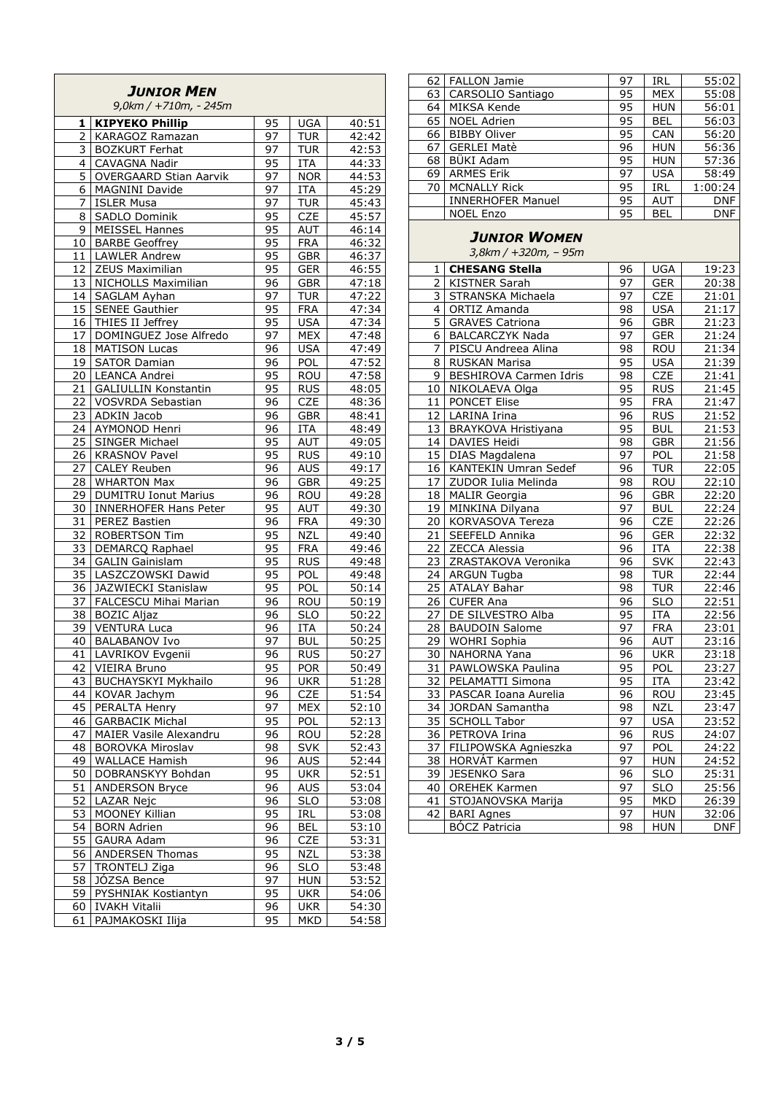|                       | <b>JUNIOR MEN</b><br>9,0km / +710m, - 245m |                 |                          |                |
|-----------------------|--------------------------------------------|-----------------|--------------------------|----------------|
| 1                     | <b>KIPYEKO Phillip</b>                     | 95              | <b>UGA</b>               | 40:51          |
| $\overline{2}$        | <b>KARAGOZ Ramazan</b>                     | 97              | <b>TUR</b>               | 42:42          |
|                       | 3 BOZKURT Ferhat                           | 97              | <b>TUR</b>               | 42:53          |
| 4                     | <b>CAVAGNA Nadir</b>                       | 95              | <b>ITA</b>               | 44:33          |
| 5                     | <b>OVERGAARD Stian Aarvik</b>              | 97              | <b>NOR</b>               | 44:53          |
| 6                     | <b>MAGNINI Davide</b>                      | 97              | <b>ITA</b>               | 45:29          |
| 7                     | <b>ISLER Musa</b>                          | 97              | <b>TUR</b>               | 45:43          |
| 8                     | SADLO Dominik                              | 95              | <b>CZE</b>               | 45:57          |
| 9                     | <b>MEISSEL Hannes</b>                      | 95              | AUT                      | 46:14          |
|                       | 10   BARBE Geoffrey                        | 95              | <b>FRA</b>               | 46:32          |
| 11                    | <b>LAWLER Andrew</b>                       | 95              | <b>GBR</b>               | 46:37          |
| 12                    | ZEUS Maximilian                            | 95              | GER                      | 46:55          |
| 13                    | NICHOLLS Maximilian                        | 96              | <b>GBR</b>               | 47:18          |
| 14                    | SAGLAM Ayhan                               | 97              | <b>TUR</b>               | 47:22          |
| 15                    | <b>SENEE Gauthier</b>                      | $\overline{95}$ | <b>FRA</b>               | 47:34          |
| 16                    | THIES II Jeffrey                           | 95              | <b>USA</b>               | 47:34          |
| 17                    | DOMINGUEZ Jose Alfredo                     | 97              | <b>MEX</b>               | 47:48          |
| 18                    | <b>MATISON Lucas</b>                       | 96              | <b>USA</b>               | 47:49          |
| 19                    | <b>SATOR Damian</b><br>20 LEANCA Andrei    | 96<br>95        | POL<br><b>ROU</b>        | 47:52<br>47:58 |
| 21                    | <b>GALIULLIN Konstantin</b>                | 95              | <b>RUS</b>               | 48:05          |
|                       | 22 VOSVRDA Sebastian                       | 96              | <b>CZE</b>               | 48:36          |
| 23                    | ADKIN Jacob                                | 96              | <b>GBR</b>               | 48:41          |
| 24                    | AYMONOD Henri                              | 96              | <b>ITA</b>               | 48:49          |
| 25                    | SINGER Michael                             | 95              | AUT                      | 49:05          |
| $\overline{26}$       | <b>KRASNOV Pavel</b>                       | 95              | <b>RUS</b>               | 49:10          |
| 27                    | <b>CALEY Reuben</b>                        | 96              | AUS                      | 49:17          |
| 28                    | <b>WHARTON Max</b>                         | 96              | <b>GBR</b>               | 49:25          |
| $\overline{29}$       | <b>DUMITRU Ionut Marius</b>                | 96              | <b>ROU</b>               | 49:28          |
| 30                    | <b>INNERHOFER Hans Peter</b>               | 95              | <b>AUT</b>               | 49:30          |
| 31                    | <b>PEREZ Bastien</b>                       | 96              | <b>FRA</b>               | 49:30          |
| $\overline{32}$       | <b>ROBERTSON Tim</b>                       | 95              | <b>NZL</b>               | 49:40          |
| 33                    | DEMARCQ Raphael                            | 95              | <b>FRA</b>               | 49:46          |
| $\frac{3}{4}$         | <b>GALIN Gainislam</b>                     | 95              | <b>RUS</b>               | 49:48          |
| 35                    | LASZCZOWSKI Dawid                          | 95              | POL                      | 49:48          |
| 36                    | JAZWIECKI Stanislaw                        | 95              | POL                      | 50:14          |
| 37                    | FALCESCU Mihai Marian                      | 96              | ROU                      | 50:19          |
| 38                    | <b>BOZIC Aljaz</b>                         | 96              | SL <sub>o</sub>          | 50:22          |
|                       | 39 VENTURA Luca                            | 96              | <b>ITA</b>               | 50:24          |
| 40<br>$\overline{41}$ | <b>BALABANOV Ivo</b>                       | 97<br>96        | <b>BUL</b>               | 50:25          |
| 42                    | LAVRIKOV Evgenii<br>VIEIRA Bruno           | 95              | <b>RUS</b><br><b>POR</b> | 50:27          |
| 43                    | <b>BUCHAYSKYI Mykhailo</b>                 | 96              | <b>UKR</b>               | 50:49<br>51:28 |
| 44                    | KOVAR Jachym                               | 96              | <b>CZE</b>               | 51:54          |
| 45                    | PERALTA Henry                              | 97              | <b>MEX</b>               | 52:10          |
| 46                    | <b>GARBACIK Michal</b>                     | 95              | POL                      | 52:13          |
| 47                    | MAIER Vasile Alexandru                     | 96              | <b>ROU</b>               | 52:28          |
| 48                    | <b>BOROVKA Miroslav</b>                    | 98              | <b>SVK</b>               | 52:43          |
| 49                    | <b>WALLACE Hamish</b>                      | 96              | <b>AUS</b>               | 52:44          |
| 50                    | DOBRANSKYY Bohdan                          | 95              | <b>UKR</b>               | 52:51          |
| 51                    | <b>ANDERSON Bryce</b>                      | 96              | AUS                      | 53:04          |
| 52                    | LAZAR Nejc                                 | 96              | <b>SLO</b>               | 53:08          |
| 53                    | MOONEY Killian                             | 95              | <b>IRL</b>               | 53:08          |
| 54                    | <b>BORN</b> Adrien                         | 96              | <b>BEL</b>               | 53:10          |
| 55                    | <b>GAURA Adam</b>                          | 96              | <b>CZE</b>               | 53:31          |
| 56                    | <b>ANDERSEN Thomas</b>                     | 95              | <b>NZL</b>               | 53:38          |
| 57                    | TRONTELJ Ziga                              | 96              | <b>SLO</b>               | 53:48          |
| 58                    | JÓZSA Bence                                | 97              | <b>HUN</b>               | 53:52          |
| 59                    | PYSHNIAK Kostiantyn                        | 95              | <b>UKR</b>               | 54:06          |
| 60                    | <b>IVAKH Vitalii</b>                       | 96              | <b>UKR</b>               | 54:30          |
| 61                    | PAJMAKOSKI Ilija                           | 95              | <b>MKD</b>               | 54:58          |

| 62 | <b>FALLON Jamie</b>      | 97 | IRL        | 55:02      |
|----|--------------------------|----|------------|------------|
| 63 | CARSOLIO Santiago        | 95 | <b>MEX</b> | 55:08      |
| 64 | MIKSA Kende              | 95 | <b>HUN</b> | 56:01      |
| 65 | <b>NOEL Adrien</b>       | 95 | <b>BEL</b> | 56:03      |
| 66 | <b>BIBBY Oliver</b>      | 95 | CAN        | 56:20      |
| 67 | <b>GERLEI Matè</b>       | 96 | <b>HUN</b> | 56:36      |
| 68 | BÜKI Adam                | 95 | <b>HUN</b> | 57:36      |
| 69 | <b>ARMES Erik</b>        | 97 | <b>USA</b> | 58:49      |
| 70 | <b>MCNALLY Rick</b>      | 95 | IRL        | 1:00:24    |
|    | <b>INNERHOFER Manuel</b> | 95 | <b>AUT</b> | <b>DNF</b> |
|    | <b>NOEL Enzo</b>         | 95 | <b>BEL</b> | <b>DNF</b> |
|    |                          |    |            |            |

#### *JUNIOR WOMEN*

*3,8km / +320m, – 95m* 

| 1               | <b>CHESANG Stella</b>  | 96              | <b>UGA</b>              | 19:23      |
|-----------------|------------------------|-----------------|-------------------------|------------|
| $\overline{2}$  | <b>KISTNER Sarah</b>   | 97              | <b>GER</b>              | 20:38      |
| 3               | STRANSKA Michaela      | $\overline{97}$ | <b>CZE</b>              | 21:01      |
| 4               | <b>ORTIZ Amanda</b>    | 98              | <b>USA</b>              | 21:17      |
| 5               | <b>GRAVES Catriona</b> | $\overline{96}$ | <b>GBR</b>              | 21:23      |
| 6               | <b>BALCARCZYK Nada</b> | 97              | <b>GER</b>              | 21:24      |
| 7               | PISCU Andreea Alina    | 98              | ROU                     | 21:34      |
| 8               | RUSKAN Marisa          | 95              | <b>USA</b>              | 21:39      |
| 9               | BESHIROVA Carmen Idris | 98              | <b>CZE</b>              | 21:41      |
| 10              | NIKOLAEVA Olga         | 95              | <b>RUS</b>              | 21:45      |
| 11              | <b>PONCET Elise</b>    | 95              | <b>FRA</b>              | 21:47      |
| 12              | LARINA Irina           | $\overline{96}$ | <b>RUS</b>              | 21:52      |
| 13              | BRAYKOVA Hristiyana    | 95              | <b>BUL</b>              | 21:53      |
| 14              | DAVIES Heidi           | 98              | <b>GBR</b>              | 21:56      |
| 15              | DIAS Magdalena         | 97              | POL                     | 21:58      |
| 16              | KANTEKIN Umran Sedef   | 96              | <b>TUR</b>              | 22:05      |
| $\overline{17}$ | ZUDOR Iulia Melinda    | $\overline{98}$ | <b>ROU</b>              | 22:10      |
| 18              | <b>MALIR</b> Georgia   | 96              | <b>GBR</b>              | 22:20      |
| 19              | MINKINA Dilyana        | $\overline{9}$  | <b>BUL</b>              | 22:24      |
| 20              | KORVASOVA Tereza       | 96              | <b>CZE</b>              | 22:26      |
| 21              | SEEFELD Annika         | 96              | <b>GER</b>              | 22:32      |
| 22              | ZECCA Alessia          | 96              | ITA                     | 22:38      |
| 23              | ZRASTAKOVA Veronika    | 96              | <b>SVK</b>              | 22:43      |
| 24              | <b>ARGUN Tugba</b>     | 98              | <b>TUR</b>              | 22:44      |
| 25              | <b>ATALAY Bahar</b>    | 98              | <b>TUR</b>              | 22:46      |
| $\overline{26}$ | <b>CUFER Ana</b>       | $\overline{96}$ | $\overline{\text{SLO}}$ | 22:51      |
| 27              | DE SILVESTRO Alba      | 95              | <b>ITA</b>              | 22:56      |
| 28              | <b>BAUDOIN Salome</b>  | $\overline{97}$ | <b>FRA</b>              | 23:01      |
| 29              | WOHRI Sophia           | $\overline{96}$ | AUT                     | 23:16      |
| 30              | NAHORNA Yana           | $\overline{96}$ | <b>UKR</b>              | 23:18      |
| 31              | PAWLOWSKA Paulina      | 95              | POL                     | 23:27      |
| 32              | PELAMATTI Simona       | $\overline{95}$ | <b>ITA</b>              | 23:42      |
| 33              | PASCAR Ioana Aurelia   | $\overline{96}$ | ROU                     | 23:45      |
| $\overline{34}$ | JORDAN Samantha        | $\overline{98}$ | <b>NZL</b>              | 23:47      |
| 35              | <b>SCHOLL Tabor</b>    | 97              | <b>USA</b>              | 23:52      |
| 36              | PETROVA Irina          | 96              | <b>RUS</b>              | 24:07      |
| $\overline{37}$ | FILIPOWSKA Agnieszka   | 97              | POL                     | 24:22      |
| 38              | HORVÁT Karmen          | 97              | <b>HUN</b>              | 24:52      |
| 39              | JESENKO Sara           | 96              | <b>SLO</b>              | 25:31      |
| 40              | <b>OREHEK Karmen</b>   | 97              | <b>SLO</b>              | 25:56      |
| $\overline{41}$ | STOJANOVSKA Marija     | 95              | <b>MKD</b>              | 26:39      |
| 42              | <b>BARI</b> Agnes      | 97              | <b>HUN</b>              | 32:06      |
|                 | <b>BÓCZ Patricia</b>   | $\overline{98}$ | <b>HUN</b>              | <b>DNF</b> |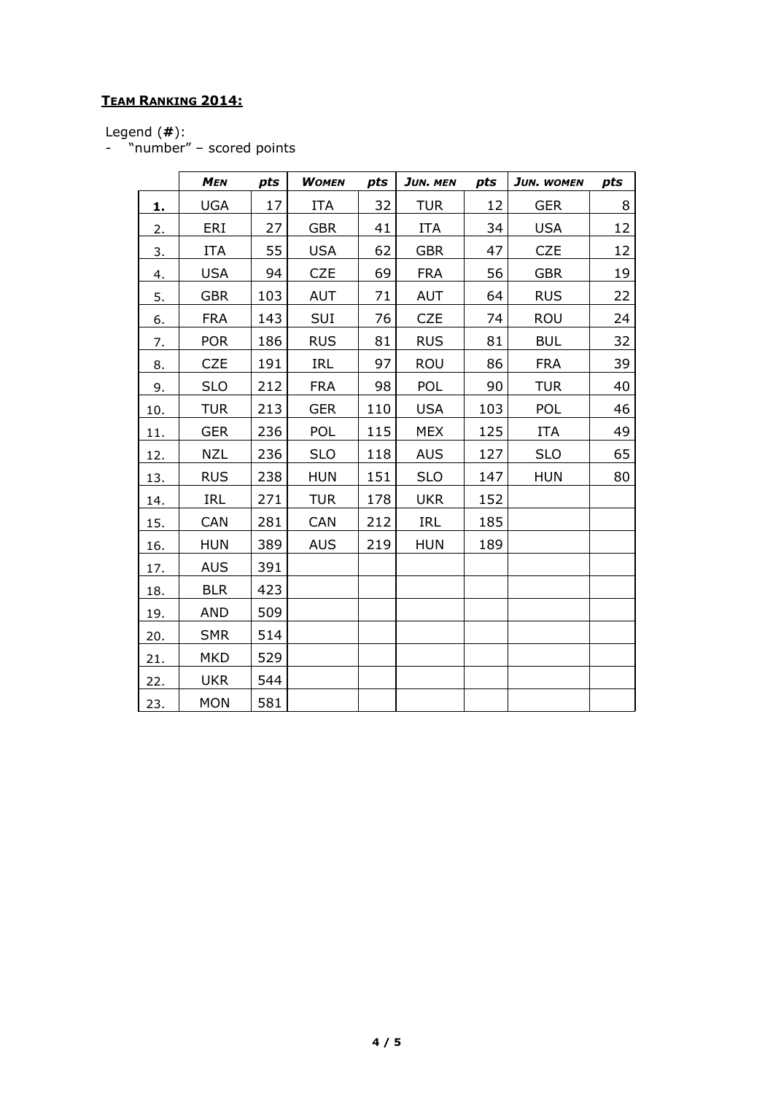## **TEAM RANKING 2014:**

Legend (**#**):

- "number" – scored points

|     | <b>MEN</b> | pts | <b>WOMEN</b> | pts | JUN. MEN   | pts | JUN. WOMEN | pts |
|-----|------------|-----|--------------|-----|------------|-----|------------|-----|
| 1.  | <b>UGA</b> | 17  | <b>ITA</b>   | 32  | <b>TUR</b> | 12  | <b>GER</b> | 8   |
| 2.  | ERI        | 27  | <b>GBR</b>   | 41  | ITA        | 34  | <b>USA</b> | 12  |
| 3.  | <b>ITA</b> | 55  | <b>USA</b>   | 62  | <b>GBR</b> | 47  | <b>CZE</b> | 12  |
| 4.  | <b>USA</b> | 94  | <b>CZE</b>   | 69  | <b>FRA</b> | 56  | <b>GBR</b> | 19  |
| 5.  | <b>GBR</b> | 103 | <b>AUT</b>   | 71  | AUT        | 64  | <b>RUS</b> | 22  |
| 6.  | <b>FRA</b> | 143 | SUI          | 76  | <b>CZE</b> | 74  | ROU        | 24  |
| 7.  | <b>POR</b> | 186 | <b>RUS</b>   | 81  | <b>RUS</b> | 81  | <b>BUL</b> | 32  |
| 8.  | <b>CZE</b> | 191 | <b>IRL</b>   | 97  | <b>ROU</b> | 86  | <b>FRA</b> | 39  |
| 9.  | <b>SLO</b> | 212 | <b>FRA</b>   | 98  | POL        | 90  | <b>TUR</b> | 40  |
| 10. | <b>TUR</b> | 213 | <b>GER</b>   | 110 | <b>USA</b> | 103 | <b>POL</b> | 46  |
| 11. | <b>GER</b> | 236 | POL          | 115 | <b>MEX</b> | 125 | <b>ITA</b> | 49  |
| 12. | <b>NZL</b> | 236 | <b>SLO</b>   | 118 | <b>AUS</b> | 127 | <b>SLO</b> | 65  |
| 13. | <b>RUS</b> | 238 | <b>HUN</b>   | 151 | <b>SLO</b> | 147 | <b>HUN</b> | 80  |
| 14. | IRL        | 271 | <b>TUR</b>   | 178 | <b>UKR</b> | 152 |            |     |
| 15. | CAN        | 281 | <b>CAN</b>   | 212 | IRL        | 185 |            |     |
| 16. | <b>HUN</b> | 389 | <b>AUS</b>   | 219 | <b>HUN</b> | 189 |            |     |
| 17. | <b>AUS</b> | 391 |              |     |            |     |            |     |
| 18. | <b>BLR</b> | 423 |              |     |            |     |            |     |
| 19. | <b>AND</b> | 509 |              |     |            |     |            |     |
| 20. | <b>SMR</b> | 514 |              |     |            |     |            |     |
| 21. | <b>MKD</b> | 529 |              |     |            |     |            |     |
| 22. | <b>UKR</b> | 544 |              |     |            |     |            |     |
| 23. | <b>MON</b> | 581 |              |     |            |     |            |     |